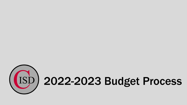

# 2022-2023 Budget Process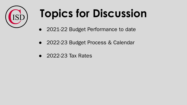

# **Topics for Discussion**

- 2021-22 Budget Performance to date
- 2022-23 Budget Process & Calendar
- 2022-23 Tax Rates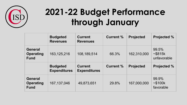

#### **2021-22 Budget Performance through January**

|                                                   | <b>Budgeted</b><br><b>Revenues</b>     | <b>Current</b><br><b>Revenues</b>     | <b>Current %</b> | <b>Projected</b> | <b>Projected %</b>             |
|---------------------------------------------------|----------------------------------------|---------------------------------------|------------------|------------------|--------------------------------|
| <b>General</b><br><b>Operating</b><br><b>Fund</b> | 163,125,216                            | 108,189,514                           | 66.3%            | 162,310,000      | 99.5%<br>~5815k<br>unfavorable |
|                                                   |                                        |                                       |                  |                  |                                |
|                                                   | <b>Budgeted</b><br><b>Expenditures</b> | <b>Current</b><br><b>Expenditures</b> | <b>Current %</b> | <b>Projected</b> | <b>Projected %</b>             |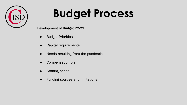

#### **Budget Process**

Development of Budget 22-23:

- **Budget Priorities**
- Capital requirements
- Needs resulting from the pandemic
- Compensation plan
- Staffing needs
- Funding sources and limitations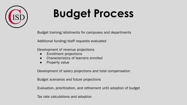

### **Budget Process**

Budget training/allotments for campuses and departments

Additional funding/staff requests evaluated

Development of revenue projections

- **Enrollment projections**
- Characteristics of learners enrolled
- Property value

Development of salary projections and total compensation

Budget scenarios and future projections

Evaluation, prioritization, and refinement until adoption of budget

Tax rate calculations and adoption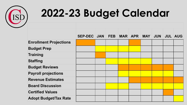

#### **2022-23 Budget Calendar**

|                               | SEP-DEC JAN FEB MAR APR MAY JUN JUL AUG |  |  |  |  |
|-------------------------------|-----------------------------------------|--|--|--|--|
|                               |                                         |  |  |  |  |
| <b>Enrollment Projections</b> |                                         |  |  |  |  |
| <b>Budget Prep</b>            |                                         |  |  |  |  |
| <b>Training</b>               |                                         |  |  |  |  |
| <b>Staffing</b>               |                                         |  |  |  |  |
| <b>Budget Reviews</b>         |                                         |  |  |  |  |
| <b>Payroll projections</b>    |                                         |  |  |  |  |
| <b>Revenue Estimates</b>      |                                         |  |  |  |  |
| <b>Board Discussion</b>       |                                         |  |  |  |  |
| <b>Certified Values</b>       |                                         |  |  |  |  |
| <b>Adopt Budget/Tax Rate</b>  |                                         |  |  |  |  |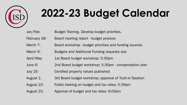

## **2022-23 Budget Calendar**

| Jan/Feb: |  |  |  |  | Budget Training. Develop budget priorities. |
|----------|--|--|--|--|---------------------------------------------|
|----------|--|--|--|--|---------------------------------------------|

- February 28: Board meeting report budget process
- March 7: Board workshop budget priorities and funding sources
- March 9: Budgets and Additional Funding requests due
- April/May: 1st Board budget workshop; 5:30pm
- June 6: 2nd Board budget workshop; 5:30pm compensation plan
- July 25: Certified property values published
- August 1: 3rd Board budget workshop; approval of Truth-in-Taxation
- August 22: Public hearing on budget and tax rates; 5:30pm
- August 22: Approval of budget and tax rates; 6:00pm